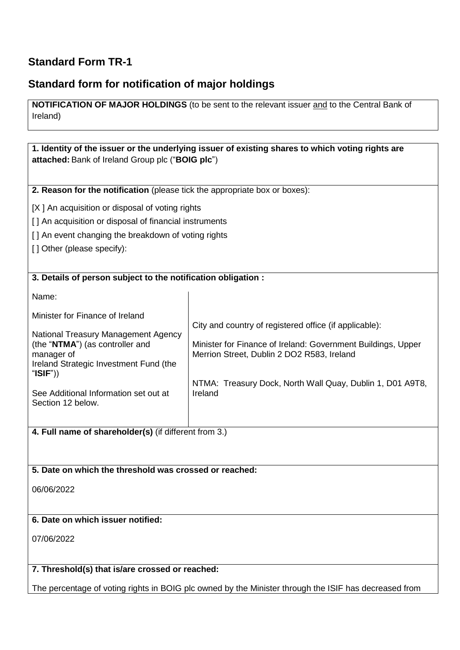# **Standard Form TR-1**

## **Standard form for notification of major holdings**

**NOTIFICATION OF MAJOR HOLDINGS** (to be sent to the relevant issuer and to the Central Bank of Ireland)

**1. Identity of the issuer or the underlying issuer of existing shares to which voting rights are attached:** Bank of Ireland Group plc ("**BOIG plc**")

**2. Reason for the notification** (please tick the appropriate box or boxes):

[X ] An acquisition or disposal of voting rights

[] An acquisition or disposal of financial instruments

[] An event changing the breakdown of voting rights

[] Other (please specify):

#### **3. Details of person subject to the notification obligation :**

Name:

Minister for Finance of Ireland

National Treasury Management Agency (the "**NTMA**") (as controller and manager of Ireland Strategic Investment Fund (the "**ISIF**"))

See Additional Information set out at Section 12 below.

City and country of registered office (if applicable):

Minister for Finance of Ireland: Government Buildings, Upper Merrion Street, Dublin 2 DO2 R583, Ireland

NTMA: Treasury Dock, North Wall Quay, Dublin 1, D01 A9T8, Ireland

**4. Full name of shareholder(s)** (if different from 3.)

#### **5. Date on which the threshold was crossed or reached:**

06/06/2022

## **6. Date on which issuer notified:**

07/06/2022

#### **7. Threshold(s) that is/are crossed or reached:**

The percentage of voting rights in BOIG plc owned by the Minister through the ISIF has decreased from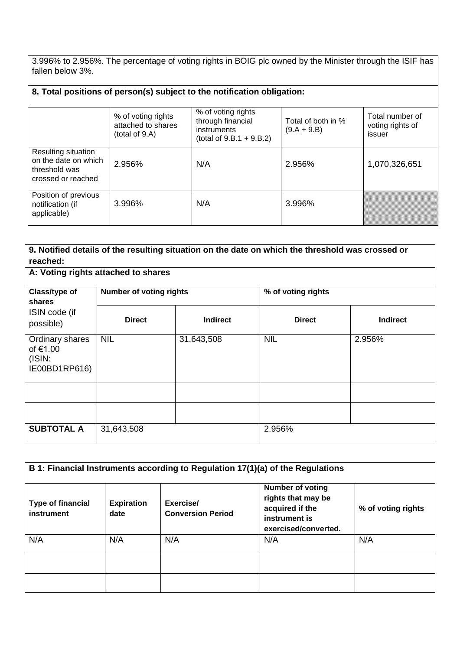3.996% to 2.956%. The percentage of voting rights in BOIG plc owned by the Minister through the ISIF has fallen below 3%.

| 8. Total positions of person(s) subject to the notification obligation:            |                                                            |                                                                                       |                                     |                                               |  |
|------------------------------------------------------------------------------------|------------------------------------------------------------|---------------------------------------------------------------------------------------|-------------------------------------|-----------------------------------------------|--|
|                                                                                    | % of voting rights<br>attached to shares<br>(total of 9.A) | % of voting rights<br>through financial<br>instruments<br>(total of $9.B.1 + 9.B.2$ ) | Total of both in %<br>$(9.A + 9.B)$ | Total number of<br>voting rights of<br>issuer |  |
| Resulting situation<br>on the date on which<br>threshold was<br>crossed or reached | 2.956%                                                     | N/A                                                                                   | 2.956%                              | 1,070,326,651                                 |  |
| Position of previous<br>notification (if<br>applicable)                            | 3.996%                                                     | N/A                                                                                   | 3.996%                              |                                               |  |

| 9. Notified details of the resulting situation on the date on which the threshold was crossed or<br>reached:<br>A: Voting rights attached to shares |                                |                 |                    |                 |
|-----------------------------------------------------------------------------------------------------------------------------------------------------|--------------------------------|-----------------|--------------------|-----------------|
| Class/type of                                                                                                                                       | <b>Number of voting rights</b> |                 | % of voting rights |                 |
| shares<br>ISIN code (if<br>possible)                                                                                                                | <b>Direct</b>                  | <b>Indirect</b> | <b>Direct</b>      | <b>Indirect</b> |
| Ordinary shares<br>of €1.00<br>(ISIN:<br>IE00BD1RP616)                                                                                              | <b>NIL</b>                     | 31,643,508      | <b>NIL</b>         | 2.956%          |
|                                                                                                                                                     |                                |                 |                    |                 |
|                                                                                                                                                     |                                |                 |                    |                 |
| <b>SUBTOTAL A</b>                                                                                                                                   | 31,643,508                     |                 | 2.956%             |                 |

| B 1: Financial Instruments according to Regulation 17(1)(a) of the Regulations |                           |                                       |                                                                                                           |                    |
|--------------------------------------------------------------------------------|---------------------------|---------------------------------------|-----------------------------------------------------------------------------------------------------------|--------------------|
| <b>Type of financial</b><br>instrument                                         | <b>Expiration</b><br>date | Exercise/<br><b>Conversion Period</b> | <b>Number of voting</b><br>rights that may be<br>acquired if the<br>instrument is<br>exercised/converted. | % of voting rights |
| N/A                                                                            | N/A                       | N/A                                   | N/A                                                                                                       | N/A                |
|                                                                                |                           |                                       |                                                                                                           |                    |
|                                                                                |                           |                                       |                                                                                                           |                    |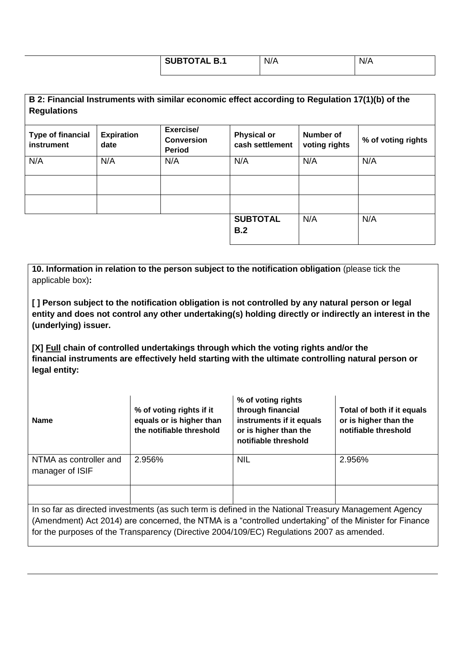| <b>SUBTOTAL B.1</b> | N/A | $\cdot$ 1 / $\prime$<br>N/A |
|---------------------|-----|-----------------------------|
|                     |     |                             |

**B 2: Financial Instruments with similar economic effect according to Regulation 17(1)(b) of the Regulations**

| <b>Type of financial</b><br>instrument | <b>Expiration</b><br>date | Exercise/<br><b>Conversion</b><br><b>Period</b> | <b>Physical or</b><br>cash settlement | Number of<br>voting rights | % of voting rights |
|----------------------------------------|---------------------------|-------------------------------------------------|---------------------------------------|----------------------------|--------------------|
| N/A                                    | N/A                       | N/A                                             | N/A                                   | N/A                        | N/A                |
|                                        |                           |                                                 |                                       |                            |                    |
|                                        |                           |                                                 |                                       |                            |                    |
|                                        |                           |                                                 | <b>SUBTOTAL</b><br>B.2                | N/A                        | N/A                |

**10. Information in relation to the person subject to the notification obligation** (please tick the applicable box)**:**

**[ ] Person subject to the notification obligation is not controlled by any natural person or legal entity and does not control any other undertaking(s) holding directly or indirectly an interest in the (underlying) issuer.**

**[X] Full chain of controlled undertakings through which the voting rights and/or the financial instruments are effectively held starting with the ultimate controlling natural person or legal entity:**

| <b>Name</b>                                                                                                                                                                                                                                                                                                   | % of voting rights if it<br>equals or is higher than<br>the notifiable threshold | % of voting rights<br>through financial<br>instruments if it equals<br>or is higher than the<br>notifiable threshold | Total of both if it equals<br>or is higher than the<br>notifiable threshold |  |
|---------------------------------------------------------------------------------------------------------------------------------------------------------------------------------------------------------------------------------------------------------------------------------------------------------------|----------------------------------------------------------------------------------|----------------------------------------------------------------------------------------------------------------------|-----------------------------------------------------------------------------|--|
| NTMA as controller and<br>manager of ISIF                                                                                                                                                                                                                                                                     | 2.956%                                                                           | <b>NIL</b>                                                                                                           | 2.956%                                                                      |  |
|                                                                                                                                                                                                                                                                                                               |                                                                                  |                                                                                                                      |                                                                             |  |
| In so far as directed investments (as such term is defined in the National Treasury Management Agency<br>(Amendment) Act 2014) are concerned, the NTMA is a "controlled undertaking" of the Minister for Finance<br>for the purposes of the Transparency (Directive 2004/109/EC) Regulations 2007 as amended. |                                                                                  |                                                                                                                      |                                                                             |  |